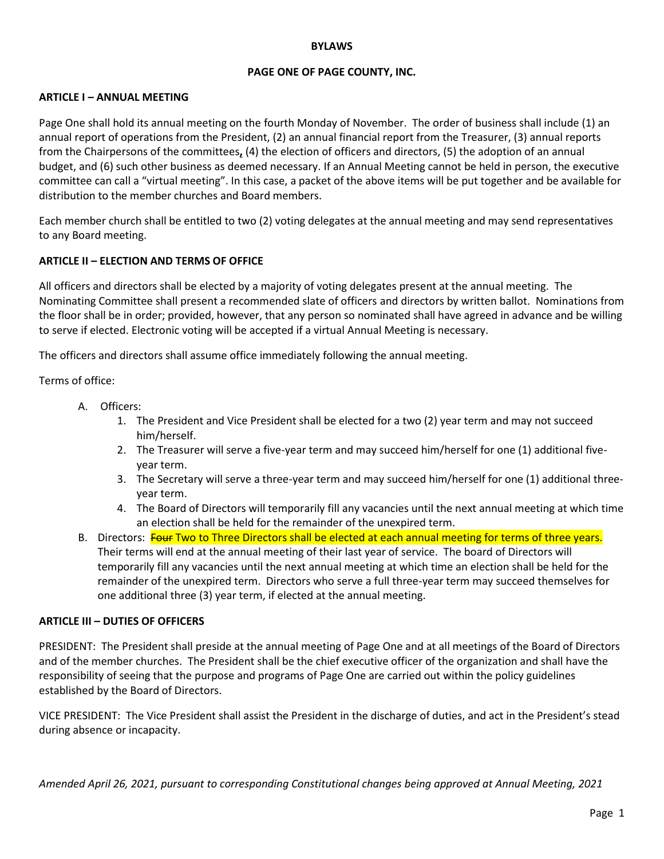#### **BYLAWS**

### **PAGE ONE OF PAGE COUNTY, INC.**

#### **ARTICLE I – ANNUAL MEETING**

Page One shall hold its annual meeting on the fourth Monday of November. The order of business shall include (1) an annual report of operations from the President, (2) an annual financial report from the Treasurer, (3) annual reports from the Chairpersons of the committees**,** (4) the election of officers and directors, (5) the adoption of an annual budget, and (6) such other business as deemed necessary. If an Annual Meeting cannot be held in person, the executive committee can call a "virtual meeting". In this case, a packet of the above items will be put together and be available for distribution to the member churches and Board members.

Each member church shall be entitled to two (2) voting delegates at the annual meeting and may send representatives to any Board meeting.

#### **ARTICLE II – ELECTION AND TERMS OF OFFICE**

All officers and directors shall be elected by a majority of voting delegates present at the annual meeting. The Nominating Committee shall present a recommended slate of officers and directors by written ballot. Nominations from the floor shall be in order; provided, however, that any person so nominated shall have agreed in advance and be willing to serve if elected. Electronic voting will be accepted if a virtual Annual Meeting is necessary.

The officers and directors shall assume office immediately following the annual meeting.

Terms of office:

- A. Officers:
	- 1. The President and Vice President shall be elected for a two (2) year term and may not succeed him/herself.
	- 2. The Treasurer will serve a five-year term and may succeed him/herself for one (1) additional fiveyear term.
	- 3. The Secretary will serve a three-year term and may succeed him/herself for one (1) additional threeyear term.
	- 4. The Board of Directors will temporarily fill any vacancies until the next annual meeting at which time an election shall be held for the remainder of the unexpired term.
- B. Directors: Four Two to Three Directors shall be elected at each annual meeting for terms of three years. Their terms will end at the annual meeting of their last year of service. The board of Directors will temporarily fill any vacancies until the next annual meeting at which time an election shall be held for the remainder of the unexpired term. Directors who serve a full three-year term may succeed themselves for one additional three (3) year term, if elected at the annual meeting.

#### **ARTICLE III – DUTIES OF OFFICERS**

PRESIDENT: The President shall preside at the annual meeting of Page One and at all meetings of the Board of Directors and of the member churches. The President shall be the chief executive officer of the organization and shall have the responsibility of seeing that the purpose and programs of Page One are carried out within the policy guidelines established by the Board of Directors.

VICE PRESIDENT: The Vice President shall assist the President in the discharge of duties, and act in the President's stead during absence or incapacity.

*Amended April 26, 2021, pursuant to corresponding Constitutional changes being approved at Annual Meeting, 2021*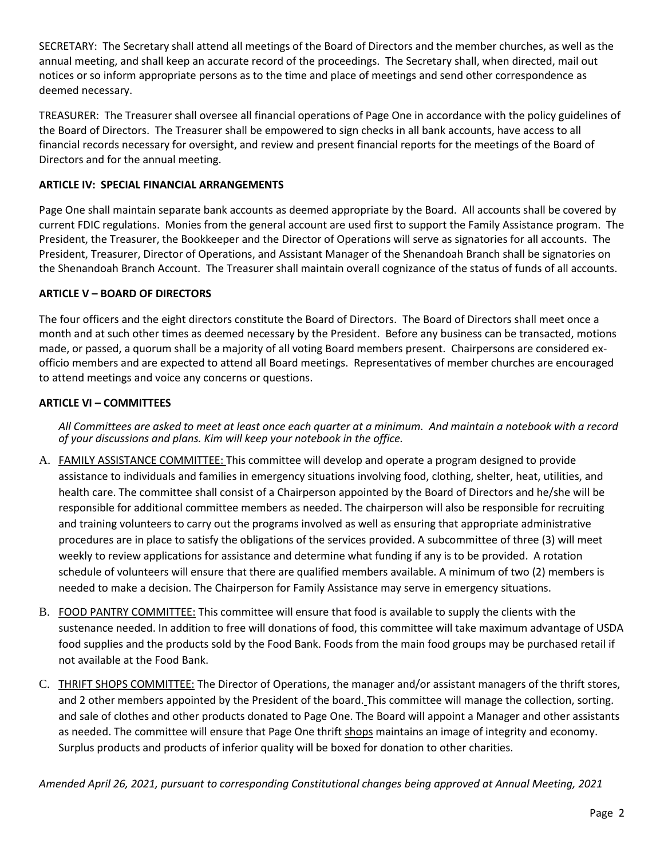SECRETARY: The Secretary shall attend all meetings of the Board of Directors and the member churches, as well as the annual meeting, and shall keep an accurate record of the proceedings. The Secretary shall, when directed, mail out notices or so inform appropriate persons as to the time and place of meetings and send other correspondence as deemed necessary.

TREASURER: The Treasurer shall oversee all financial operations of Page One in accordance with the policy guidelines of the Board of Directors. The Treasurer shall be empowered to sign checks in all bank accounts, have access to all financial records necessary for oversight, and review and present financial reports for the meetings of the Board of Directors and for the annual meeting.

# **ARTICLE IV: SPECIAL FINANCIAL ARRANGEMENTS**

Page One shall maintain separate bank accounts as deemed appropriate by the Board. All accounts shall be covered by current FDIC regulations. Monies from the general account are used first to support the Family Assistance program. The President, the Treasurer, the Bookkeeper and the Director of Operations will serve as signatories for all accounts. The President, Treasurer, Director of Operations, and Assistant Manager of the Shenandoah Branch shall be signatories on the Shenandoah Branch Account. The Treasurer shall maintain overall cognizance of the status of funds of all accounts.

## **ARTICLE V – BOARD OF DIRECTORS**

The four officers and the eight directors constitute the Board of Directors.The Board of Directors shall meet once a month and at such other times as deemed necessary by the President. Before any business can be transacted, motions made, or passed, a quorum shall be a majority of all voting Board members present.Chairpersons are considered exofficio members and are expected to attend all Board meetings. Representatives of member churches are encouraged to attend meetings and voice any concerns or questions.

## **ARTICLE VI – COMMITTEES**

*All Committees are asked to meet at least once each quarter at a minimum. And maintain a notebook with a record of your discussions and plans. Kim will keep your notebook in the office.*

- A. FAMILY ASSISTANCE COMMITTEE: This committee will develop and operate a program designed to provide assistance to individuals and families in emergency situations involving food, clothing, shelter, heat, utilities, and health care. The committee shall consist of a Chairperson appointed by the Board of Directors and he/she will be responsible for additional committee members as needed. The chairperson will also be responsible for recruiting and training volunteers to carry out the programs involved as well as ensuring that appropriate administrative procedures are in place to satisfy the obligations of the services provided. A subcommittee of three (3) will meet weekly to review applications for assistance and determine what funding if any is to be provided. A rotation schedule of volunteers will ensure that there are qualified members available. A minimum of two (2) members is needed to make a decision. The Chairperson for Family Assistance may serve in emergency situations.
- B. FOOD PANTRY COMMITTEE: This committee will ensure that food is available to supply the clients with the sustenance needed. In addition to free will donations of food, this committee will take maximum advantage of USDA food supplies and the products sold by the Food Bank. Foods from the main food groups may be purchased retail if not available at the Food Bank.
- C. THRIFT SHOPS COMMITTEE: The Director of Operations, the manager and/or assistant managers of the thrift stores, and 2 other members appointed by the President of the board. This committee will manage the collection, sorting. and sale of clothes and other products donated to Page One. The Board will appoint a Manager and other assistants as needed. The committee will ensure that Page One thrift shops maintains an image of integrity and economy. Surplus products and products of inferior quality will be boxed for donation to other charities.

*Amended April 26, 2021, pursuant to corresponding Constitutional changes being approved at Annual Meeting, 2021*